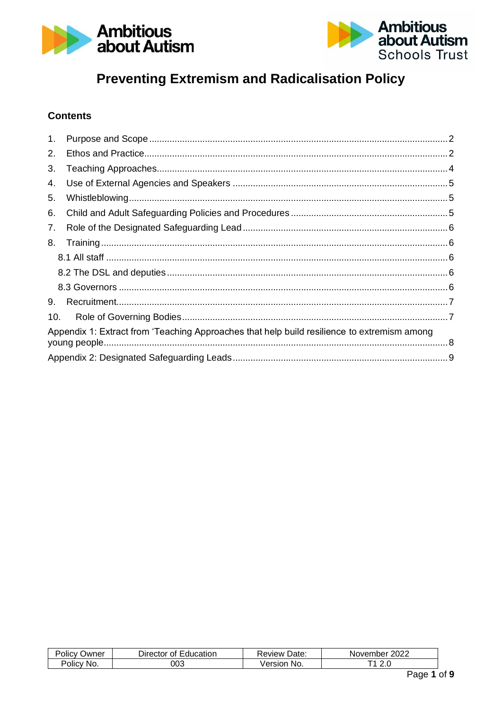



# **Preventing Extremism and Radicalisation Policy**

## **Contents**

| 1 <sub>1</sub> |                                                                                             |  |
|----------------|---------------------------------------------------------------------------------------------|--|
| 2.             |                                                                                             |  |
| 3.             |                                                                                             |  |
| 4.             |                                                                                             |  |
| 5.             |                                                                                             |  |
| 6.             |                                                                                             |  |
| 7.             |                                                                                             |  |
| 8.             |                                                                                             |  |
|                |                                                                                             |  |
|                |                                                                                             |  |
|                |                                                                                             |  |
| 9.             |                                                                                             |  |
| 10.            |                                                                                             |  |
|                | Appendix 1: Extract from 'Teaching Approaches that help build resilience to extremism among |  |
|                |                                                                                             |  |

| $\cdots$<br>)wner<br>'OliC∖ | Education<br>Jirector<br>Ωt | Date.<br>Review      | 2022<br>November   |
|-----------------------------|-----------------------------|----------------------|--------------------|
| -<br>No.<br>Policy          | 003                         | Jersior<br><b>No</b> | -4<br><u>. . 0</u> |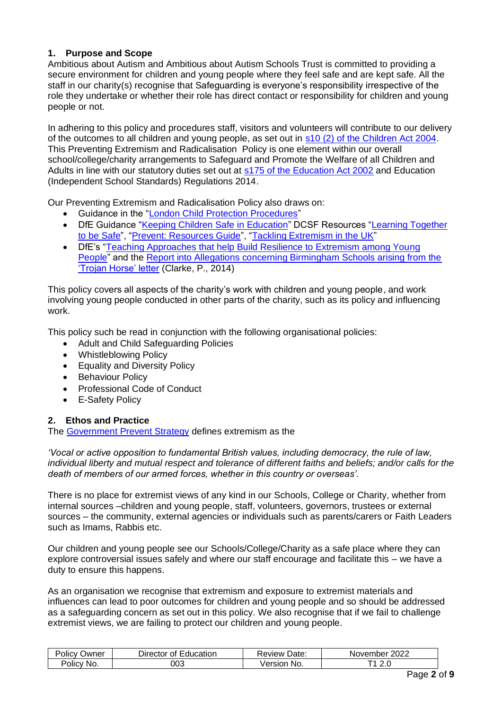## <span id="page-1-0"></span>**1. Purpose and Scope**

Ambitious about Autism and Ambitious about Autism Schools Trust is committed to providing a secure environment for children and young people where they feel safe and are kept safe. All the staff in our charity(s) recognise that Safeguarding is everyone's responsibility irrespective of the role they undertake or whether their role has direct contact or responsibility for children and young people or not.

In adhering to this policy and procedures staff, visitors and volunteers will contribute to our delivery of the outcomes to all children and young people, as set out in [s10 \(2\) of the Children Act 2004.](http://www.legislation.gov.uk/ukpga/2004/31/section/10) This Preventing Extremism and Radicalisation Policy is one element within our overall school/college/charity arrangements to Safeguard and Promote the Welfare of all Children and Adults in line with our statutory duties set out at [s175 of the Education Act 2002](http://www.legislation.gov.uk/ukpga/2002/32/section/175) and Education (Independent School Standards) Regulations 2014.

Our Preventing Extremism and Radicalisation Policy also draws on:

- Guidance in the ["London Child Protection Procedures"](http://www.londoncp.co.uk/)
- DfE Guidance ["Keeping Children Safe in Education"](https://www.gov.uk/government/publications/keeping-children-safe-in-education--2) DCSF Resources ["Learning Together](https://www.radicalisationresearch.org/wp-content/uploads/2015/06/DCSF-Prevent-Schools-Toolkit.pdf)  [to be Safe"](https://www.radicalisationresearch.org/wp-content/uploads/2015/06/DCSF-Prevent-Schools-Toolkit.pdf), ["Prevent: Resources Guide"](https://www.gov.uk/government/publications/protecting-children-from-radicalisation-the-prevent-duty), ["Tackling Extremism in the UK"](https://www.gov.uk/government/publications/tackling-extremism-in-the-uk-report-by-the-extremism-taskforce)
- DfE's ["Teaching Approaches that help Build Resilience to Extremism among Young](https://www.gov.uk/government/publications/teaching-approaches-that-help-to-build-resilience-to-extremism-among-young-people)  [People"](https://www.gov.uk/government/publications/teaching-approaches-that-help-to-build-resilience-to-extremism-among-young-people) and the [Report into Allegations concerning Birmingham Schools arising from the](https://www.gov.uk/government/publications/birmingham-schools-education-commissioners-report)  ['Trojan Horse' letter](https://www.gov.uk/government/publications/birmingham-schools-education-commissioners-report) (Clarke, P., 2014)

This policy covers all aspects of the charity's work with children and young people, and work involving young people conducted in other parts of the charity, such as its policy and influencing work.

This policy such be read in conjunction with the following organisational policies:

- Adult and Child Safeguarding Policies
- Whistleblowing Policy
- Equality and Diversity Policy
- Behaviour Policy
- Professional Code of Conduct
- E-Safety Policy

## <span id="page-1-1"></span>**2. Ethos and Practice**

The [Government Prevent Strategy](https://www.gov.uk/government/publications/prevent-strategy-2011) defines extremism as the

*'Vocal or active opposition to fundamental British values, including democracy, the rule of law, individual liberty and mutual respect and tolerance of different faiths and beliefs; and/or calls for the death of members of our armed forces, whether in this country or overseas'.* 

There is no place for extremist views of any kind in our Schools, College or Charity, whether from internal sources –children and young people, staff, volunteers, governors, trustees or external sources – the community, external agencies or individuals such as parents/carers or Faith Leaders such as Imams, Rabbis etc.

Our children and young people see our Schools/College/Charity as a safe place where they can explore controversial issues safely and where our staff encourage and facilitate this – we have a duty to ensure this happens.

As an organisation we recognise that extremism and exposure to extremist materials and influences can lead to poor outcomes for children and young people and so should be addressed as a safeguarding concern as set out in this policy. We also recognise that if we fail to challenge extremist views, we are failing to protect our children and young people.

| -<br>Jwner<br>טווכי<br>ΩИ  | _<br>Education<br>$-$<br>Jire<br>Οt | Date:<br><b>eview</b> | റററ<br>ember<br>Nover <sub>1</sub><br>'∠U∠∠ ' |
|----------------------------|-------------------------------------|-----------------------|-----------------------------------------------|
| 'olic\<br>No.<br>$\cdot$ v | 003                                 | ∍rsı∩n<br>No.         | 2.J                                           |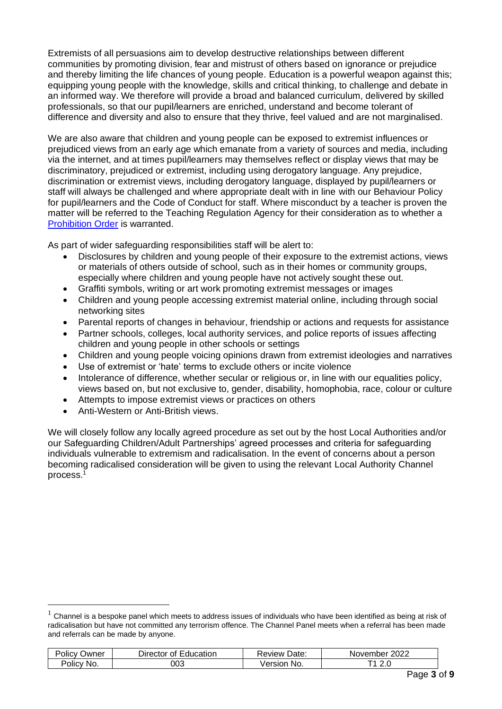Extremists of all persuasions aim to develop destructive relationships between different communities by promoting division, fear and mistrust of others based on ignorance or prejudice and thereby limiting the life chances of young people. Education is a powerful weapon against this; equipping young people with the knowledge, skills and critical thinking, to challenge and debate in an informed way. We therefore will provide a broad and balanced curriculum, delivered by skilled professionals, so that our pupil/learners are enriched, understand and become tolerant of difference and diversity and also to ensure that they thrive, feel valued and are not marginalised.

We are also aware that children and young people can be exposed to extremist influences or prejudiced views from an early age which emanate from a variety of sources and media, including via the internet, and at times pupil/learners may themselves reflect or display views that may be discriminatory, prejudiced or extremist, including using derogatory language. Any prejudice, discrimination or extremist views, including derogatory language, displayed by pupil/learners or staff will always be challenged and where appropriate dealt with in line with our Behaviour Policy for pupil/learners and the Code of Conduct for staff. Where misconduct by a teacher is proven the matter will be referred to the Teaching Regulation Agency for their consideration as to whether a [Prohibition Order](https://www.gov.uk/government/publications/teacher-misconduct-the-prohibition-of-teachers--3) is warranted.

As part of wider safeguarding responsibilities staff will be alert to:

- Disclosures by children and young people of their exposure to the extremist actions, views or materials of others outside of school, such as in their homes or community groups, especially where children and young people have not actively sought these out.
- Graffiti symbols, writing or art work promoting extremist messages or images
- Children and young people accessing extremist material online, including through social networking sites
- Parental reports of changes in behaviour, friendship or actions and requests for assistance
- Partner schools, colleges, local authority services, and police reports of issues affecting children and young people in other schools or settings
- Children and young people voicing opinions drawn from extremist ideologies and narratives
- Use of extremist or 'hate' terms to exclude others or incite violence
- Intolerance of difference, whether secular or religious or, in line with our equalities policy, views based on, but not exclusive to, gender, disability, homophobia, race, colour or culture
- Attempts to impose extremist views or practices on others
- Anti-Western or Anti-British views.

We will closely follow any locally agreed procedure as set out by the host Local Authorities and/or our Safeguarding Children/Adult Partnerships' agreed processes and criteria for safeguarding individuals vulnerable to extremism and radicalisation. In the event of concerns about a person becoming radicalised consideration will be given to using the relevant Local Authority Channel  $process.<sup>1</sup>$ 

 $1$  Channel is a bespoke panel which meets to address issues of individuals who have been identified as being at risk of radicalisation but have not committed any terrorism offence. The Channel Panel meets when a referral has been made and referrals can be made by anyone.

| $\cdots$<br>-<br>שwner<br>'Olicy | Education<br>Director<br>Οt | Date:<br>⊀eview | 2022<br>November |
|----------------------------------|-----------------------------|-----------------|------------------|
| -<br>No.<br><b>POIICV</b>        | 003                         | √ersior<br>NO.  | ⌒<br><u>.</u>    |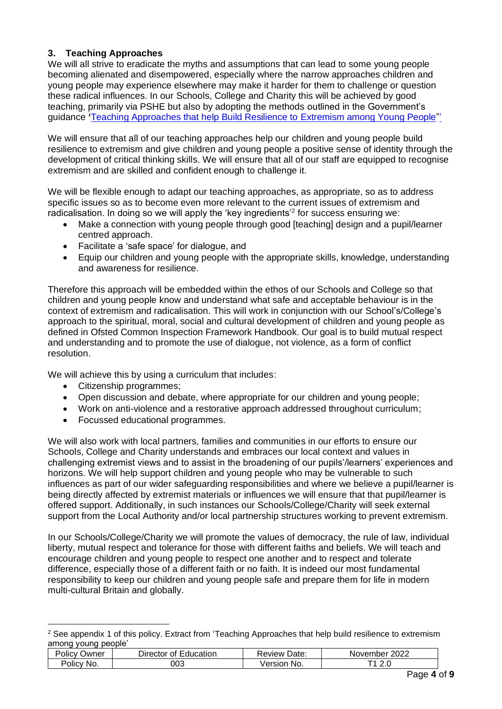## <span id="page-3-0"></span>**3. Teaching Approaches**

We will all strive to eradicate the myths and assumptions that can lead to some young people becoming alienated and disempowered, especially where the narrow approaches children and young people may experience elsewhere may make it harder for them to challenge or question these radical influences. In our Schools, College and Charity this will be achieved by good teaching, primarily via PSHE but also by adopting the methods outlined in the Government's guidance **'**[Teaching Approaches that help Build Resilience to Extremism among Young People"'](https://www.gov.uk/government/publications/teaching-approaches-that-help-to-build-resilience-to-extremism-among-young-people) 

We will ensure that all of our teaching approaches help our children and young people build resilience to extremism and give children and young people a positive sense of identity through the development of critical thinking skills. We will ensure that all of our staff are equipped to recognise extremism and are skilled and confident enough to challenge it.

We will be flexible enough to adapt our teaching approaches, as appropriate, so as to address specific issues so as to become even more relevant to the current issues of extremism and radicalisation. In doing so we will apply the 'key ingredients'<sup>2</sup> for success ensuring we:

- Make a connection with young people through good [teaching] design and a pupil/learner centred approach.
- Facilitate a 'safe space' for dialogue, and
- Equip our children and young people with the appropriate skills, knowledge, understanding and awareness for resilience.

Therefore this approach will be embedded within the ethos of our Schools and College so that children and young people know and understand what safe and acceptable behaviour is in the context of extremism and radicalisation. This will work in conjunction with our School's/College's approach to the spiritual, moral, social and cultural development of children and young people as defined in Ofsted Common Inspection Framework Handbook. Our goal is to build mutual respect and understanding and to promote the use of dialogue, not violence, as a form of conflict resolution.

We will achieve this by using a curriculum that includes:

- Citizenship programmes;
- Open discussion and debate, where appropriate for our children and young people;
- Work on anti-violence and a restorative approach addressed throughout curriculum:
- Focussed educational programmes.

We will also work with local partners, families and communities in our efforts to ensure our Schools, College and Charity understands and embraces our local context and values in challenging extremist views and to assist in the broadening of our pupils'/learners' experiences and horizons. We will help support children and young people who may be vulnerable to such influences as part of our wider safeguarding responsibilities and where we believe a pupil/learner is being directly affected by extremist materials or influences we will ensure that that pupil/learner is offered support. Additionally, in such instances our Schools/College/Charity will seek external support from the Local Authority and/or local partnership structures working to prevent extremism.

In our Schools/College/Charity we will promote the values of democracy, the rule of law, individual liberty, mutual respect and tolerance for those with different faiths and beliefs. We will teach and encourage children and young people to respect one another and to respect and tolerate difference, especially those of a different faith or no faith. It is indeed our most fundamental responsibility to keep our children and young people safe and prepare them for life in modern multi-cultural Britain and globally.

<sup>&</sup>lt;sup>2</sup> See appendix 1 of this policy. Extract from 'Teaching Approaches that help build resilience to extremism among young people'

| Jwner<br>olicy | $-$<br>Education<br>⊃ırector<br>Οt | Date:<br>≺eview      | 2022<br>November |
|----------------|------------------------------------|----------------------|------------------|
| 'olıc∖<br>No.  | 003                                | ersion<br>No.<br>− ד | <u>. . u</u>     |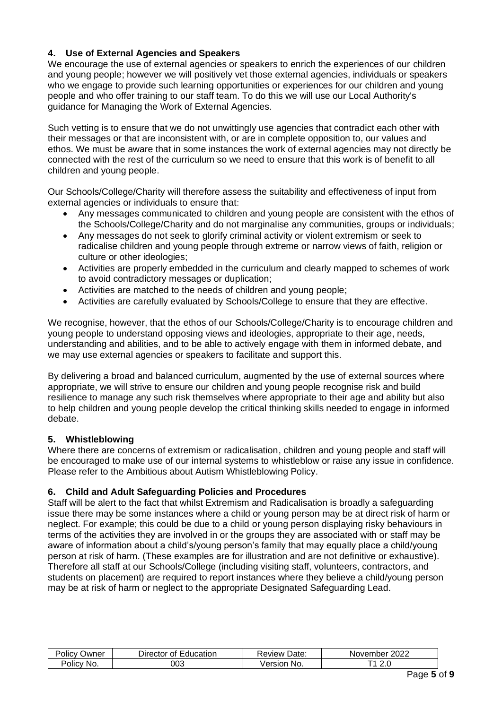## <span id="page-4-0"></span>**4. Use of External Agencies and Speakers**

We encourage the use of external agencies or speakers to enrich the experiences of our children and young people; however we will positively vet those external agencies, individuals or speakers who we engage to provide such learning opportunities or experiences for our children and young people and who offer training to our staff team. To do this we will use our Local Authority's guidance for Managing the Work of External Agencies.

Such vetting is to ensure that we do not unwittingly use agencies that contradict each other with their messages or that are inconsistent with, or are in complete opposition to, our values and ethos. We must be aware that in some instances the work of external agencies may not directly be connected with the rest of the curriculum so we need to ensure that this work is of benefit to all children and young people.

Our Schools/College/Charity will therefore assess the suitability and effectiveness of input from external agencies or individuals to ensure that:

- Any messages communicated to children and young people are consistent with the ethos of the Schools/College/Charity and do not marginalise any communities, groups or individuals;
- Any messages do not seek to glorify criminal activity or violent extremism or seek to radicalise children and young people through extreme or narrow views of faith, religion or culture or other ideologies;
- Activities are properly embedded in the curriculum and clearly mapped to schemes of work to avoid contradictory messages or duplication;
- Activities are matched to the needs of children and young people;
- Activities are carefully evaluated by Schools/College to ensure that they are effective.

We recognise, however, that the ethos of our Schools/College/Charity is to encourage children and young people to understand opposing views and ideologies, appropriate to their age, needs, understanding and abilities, and to be able to actively engage with them in informed debate, and we may use external agencies or speakers to facilitate and support this.

By delivering a broad and balanced curriculum, augmented by the use of external sources where appropriate, we will strive to ensure our children and young people recognise risk and build resilience to manage any such risk themselves where appropriate to their age and ability but also to help children and young people develop the critical thinking skills needed to engage in informed debate.

#### <span id="page-4-1"></span>**5. Whistleblowing**

Where there are concerns of extremism or radicalisation, children and young people and staff will be encouraged to make use of our internal systems to whistleblow or raise any issue in confidence. Please refer to the Ambitious about Autism Whistleblowing Policy.

#### <span id="page-4-2"></span>**6. Child and Adult Safeguarding Policies and Procedures**

Staff will be alert to the fact that whilst Extremism and Radicalisation is broadly a safeguarding issue there may be some instances where a child or young person may be at direct risk of harm or neglect. For example; this could be due to a child or young person displaying risky behaviours in terms of the activities they are involved in or the groups they are associated with or staff may be aware of information about a child's/young person's family that may equally place a child/young person at risk of harm. (These examples are for illustration and are not definitive or exhaustive). Therefore all staff at our Schools/College (including visiting staff, volunteers, contractors, and students on placement) are required to report instances where they believe a child/young person may be at risk of harm or neglect to the appropriate Designated Safeguarding Lead.

| -<br>שwner<br>OIICV  | $\overline{\phantom{0}}$<br>Education<br>⊃ırector<br>Οt | Date:<br>eview       | ∩∩∩<br>November<br>ZUZZ |
|----------------------|---------------------------------------------------------|----------------------|-------------------------|
| No.<br><b>POIICV</b> | 003                                                     | Version<br><b>No</b> | -<br>┳<br><u>.</u>      |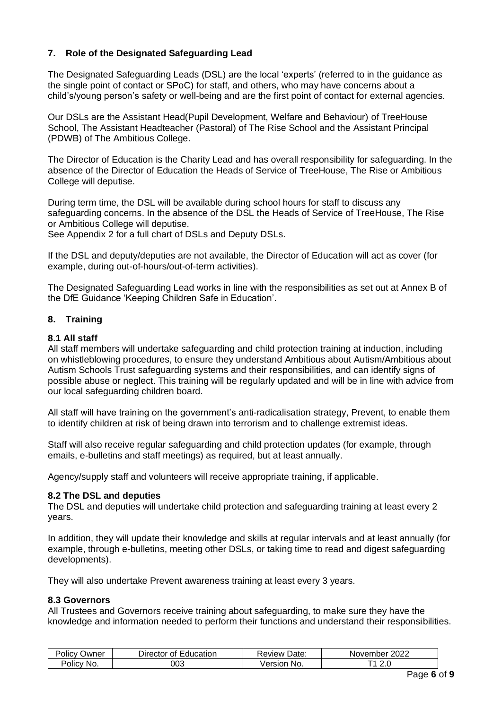## <span id="page-5-0"></span>**7. Role of the Designated Safeguarding Lead**

The Designated Safeguarding Leads (DSL) are the local 'experts' (referred to in the guidance as the single point of contact or SPoC) for staff, and others, who may have concerns about a child's/young person's safety or well-being and are the first point of contact for external agencies.

Our DSLs are the Assistant Head(Pupil Development, Welfare and Behaviour) of TreeHouse School, The Assistant Headteacher (Pastoral) of The Rise School and the Assistant Principal (PDWB) of The Ambitious College.

The Director of Education is the Charity Lead and has overall responsibility for safeguarding. In the absence of the Director of Education the Heads of Service of TreeHouse, The Rise or Ambitious College will deputise.

During term time, the DSL will be available during school hours for staff to discuss any safeguarding concerns. In the absence of the DSL the Heads of Service of TreeHouse, The Rise or Ambitious College will deputise.

See Appendix 2 for a full chart of DSLs and Deputy DSLs.

If the DSL and deputy/deputies are not available, the Director of Education will act as cover (for example, during out-of-hours/out-of-term activities).

The Designated Safeguarding Lead works in line with the responsibilities as set out at Annex B of the DfE Guidance 'Keeping Children Safe in Education'.

#### <span id="page-5-1"></span>**8. Training**

#### <span id="page-5-2"></span>**8.1 All staff**

All staff members will undertake safeguarding and child protection training at induction, including on whistleblowing procedures, to ensure they understand Ambitious about Autism/Ambitious about Autism Schools Trust safeguarding systems and their responsibilities, and can identify signs of possible abuse or neglect. This training will be regularly updated and will be in line with advice from our local safeguarding children board.

All staff will have training on the government's anti-radicalisation strategy, Prevent, to enable them to identify children at risk of being drawn into terrorism and to challenge extremist ideas.

Staff will also receive regular safeguarding and child protection updates (for example, through emails, e-bulletins and staff meetings) as required, but at least annually.

Agency/supply staff and volunteers will receive appropriate training, if applicable.

#### <span id="page-5-3"></span>**8.2 The DSL and deputies**

The DSL and deputies will undertake child protection and safeguarding training at least every 2 years.

In addition, they will update their knowledge and skills at regular intervals and at least annually (for example, through e-bulletins, meeting other DSLs, or taking time to read and digest safeguarding developments).

<span id="page-5-4"></span>They will also undertake Prevent awareness training at least every 3 years.

#### **8.3 Governors**

All Trustees and Governors receive training about safeguarding, to make sure they have the knowledge and information needed to perform their functions and understand their responsibilities.

| $\cdots$<br>⊃wner<br>olicv' | -<br>⊃ırector<br>Education<br>Οt | -<br>Date:<br><i>s</i> eview | 2022<br>November |
|-----------------------------|----------------------------------|------------------------------|------------------|
| olicv'                      | 003                              | /ersion                      | ╭                |
| No.                         |                                  | N0                           | <u>. . u</u>     |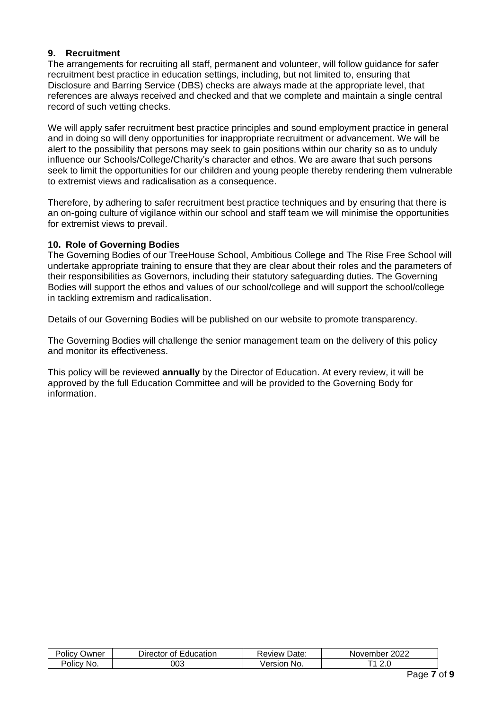#### <span id="page-6-0"></span>**9. Recruitment**

The arrangements for recruiting all staff, permanent and volunteer, will follow guidance for safer recruitment best practice in education settings, including, but not limited to, ensuring that Disclosure and Barring Service (DBS) checks are always made at the appropriate level, that references are always received and checked and that we complete and maintain a single central record of such vetting checks.

We will apply safer recruitment best practice principles and sound employment practice in general and in doing so will deny opportunities for inappropriate recruitment or advancement. We will be alert to the possibility that persons may seek to gain positions within our charity so as to unduly influence our Schools/College/Charity's character and ethos. We are aware that such persons seek to limit the opportunities for our children and young people thereby rendering them vulnerable to extremist views and radicalisation as a consequence.

Therefore, by adhering to safer recruitment best practice techniques and by ensuring that there is an on-going culture of vigilance within our school and staff team we will minimise the opportunities for extremist views to prevail.

#### <span id="page-6-1"></span>**10. Role of Governing Bodies**

The Governing Bodies of our TreeHouse School, Ambitious College and The Rise Free School will undertake appropriate training to ensure that they are clear about their roles and the parameters of their responsibilities as Governors, including their statutory safeguarding duties. The Governing Bodies will support the ethos and values of our school/college and will support the school/college in tackling extremism and radicalisation.

Details of our Governing Bodies will be published on our website to promote transparency.

The Governing Bodies will challenge the senior management team on the delivery of this policy and monitor its effectiveness.

This policy will be reviewed **annually** by the Director of Education. At every review, it will be approved by the full Education Committee and will be provided to the Governing Body for information.

| <br>-<br>שwner<br>'Olicv | $\overline{\phantom{0}}$<br>⊃ırector<br>Education<br>Οt | Date:<br>Review      | 2022<br>≅mber <sub>-</sub><br>Nover. |
|--------------------------|---------------------------------------------------------|----------------------|--------------------------------------|
| .<br>No.<br>olicv'،      | 003                                                     | ersion<br>NO.<br>7er | <u>. . u</u>                         |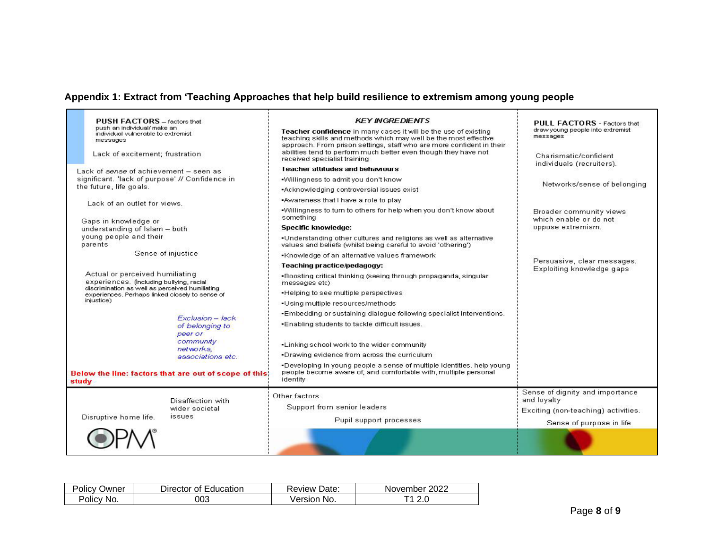## **Appendix 1: Extract from 'Teaching Approaches that help build resilience to extremism among young people**

<span id="page-7-0"></span>

|                                                                             | <b>PUSH FACTORS</b> - factors that<br>push an individual/ make an<br>individual vulnerable to extremist<br>messages |                                                        | <b>KEY INGREDIENTS</b><br>Teacher confidence in many cases it will be the use of existing<br>teaching skills and methods which may well be the most effective<br>approach. From prison settings, staff who are more confident in their | <b>PULL FACTORS</b> - Factors that<br>draw young people into extremist<br>messages |
|-----------------------------------------------------------------------------|---------------------------------------------------------------------------------------------------------------------|--------------------------------------------------------|----------------------------------------------------------------------------------------------------------------------------------------------------------------------------------------------------------------------------------------|------------------------------------------------------------------------------------|
|                                                                             | Lack of excitement; frustration                                                                                     |                                                        | abilities tend to perform much better even though they have not<br>received specialist training                                                                                                                                        | Charismatic/confident<br>individuals (recruiters).                                 |
|                                                                             | Lack of sense of achievement - seen as                                                                              |                                                        | <b>Teacher attitudes and behaviours</b>                                                                                                                                                                                                |                                                                                    |
|                                                                             | significant. 'lack of purpose' // Confidence in                                                                     |                                                        | . Willingness to admit you don't know                                                                                                                                                                                                  | Networks/sense of belonging                                                        |
|                                                                             | the future, life goals.                                                                                             |                                                        | •Acknowledging controversial issues exist                                                                                                                                                                                              |                                                                                    |
|                                                                             | Lack of an outlet for views.                                                                                        |                                                        | .Awareness that I have a role to play                                                                                                                                                                                                  |                                                                                    |
|                                                                             | Gaps in knowledge or                                                                                                |                                                        | .Willingness to turn to others for help when you don't know about<br>something                                                                                                                                                         | Broader community views<br>which enable or do not                                  |
|                                                                             | understanding of Islam - both                                                                                       |                                                        | <b>Specific knowledge:</b>                                                                                                                                                                                                             | oppose extremism.                                                                  |
|                                                                             | young people and their<br>parents                                                                                   |                                                        | . Understanding other cultures and religions as well as alternative<br>values and beliefs (whilst being careful to avoid 'othering')                                                                                                   |                                                                                    |
|                                                                             |                                                                                                                     | Sense of injustice                                     | . Knowledge of an alternative values framework                                                                                                                                                                                         |                                                                                    |
|                                                                             |                                                                                                                     |                                                        | Teaching practice/pedagogy:                                                                                                                                                                                                            | Persuasive, clear messages.<br>Exploiting knowledge gaps                           |
| Actual or perceived humiliating<br>experiences. (Including bullying, racial |                                                                                                                     |                                                        | . Boosting critical thinking (seeing through propaganda, singular<br>messages etc)                                                                                                                                                     |                                                                                    |
|                                                                             | discrimination as well as perceived humiliating<br>experiences. Perhaps linked closely to sense of                  |                                                        | . Helping to see multiple perspectives                                                                                                                                                                                                 |                                                                                    |
|                                                                             | injustice)                                                                                                          |                                                        | · Using multiple resources/methods                                                                                                                                                                                                     |                                                                                    |
|                                                                             |                                                                                                                     | Exclusion - Jack                                       | -Embedding or sustaining dialogue following specialist interventions.                                                                                                                                                                  |                                                                                    |
|                                                                             |                                                                                                                     | of belonging to<br>peer or                             | . Enabling students to tackle difficult issues.                                                                                                                                                                                        |                                                                                    |
|                                                                             |                                                                                                                     | community<br>networks,<br>associations etc.            | . Linking school work to the wider community<br>. Drawing evidence from across the curriculum                                                                                                                                          |                                                                                    |
| study                                                                       |                                                                                                                     | Below the line: factors that are out of scope of this! | . Developing in young people a sense of multiple identities, help young<br>people become aware of, and comfortable with, multiple personal<br>identity                                                                                 |                                                                                    |
|                                                                             |                                                                                                                     | Disaffection with                                      | Other factors<br>Support from senior leaders                                                                                                                                                                                           | Sense of dignity and importance<br>and loyalty                                     |
|                                                                             | Disruptive home life.                                                                                               | wider societal<br><i>issues</i>                        |                                                                                                                                                                                                                                        | Exciting (non-teaching) activities.                                                |
|                                                                             |                                                                                                                     |                                                        | Pupil support processes                                                                                                                                                                                                                | Sense of purpose in life.                                                          |
|                                                                             |                                                                                                                     |                                                        |                                                                                                                                                                                                                                        |                                                                                    |

| Polic∨ | Director of | Date:   | 2022     |
|--------|-------------|---------|----------|
| שwner  | Education   | Review  | November |
| Policy | 003         | Version | ┰ィ       |
| No.    |             | No.     | 2.U      |